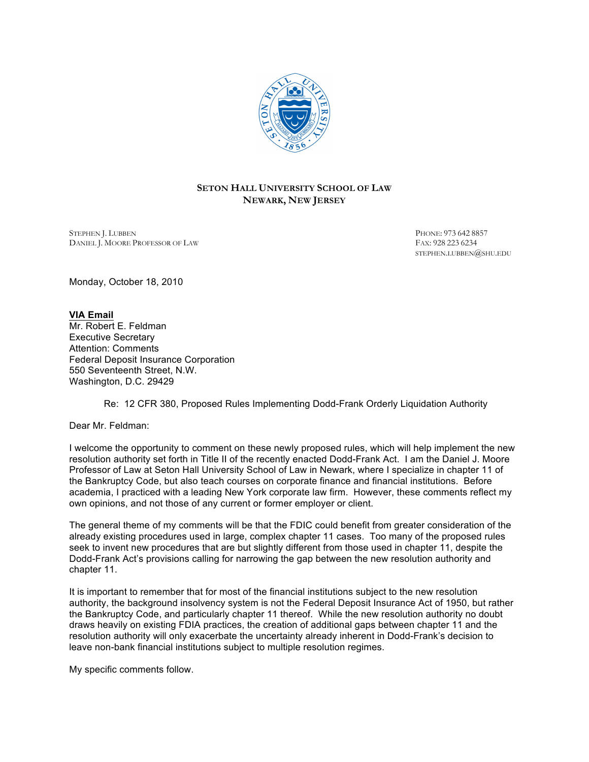

# **SETON HALL UNIVERSITY SCHOOL OF LAW NEWARK, NEW JERSEY**

STEPHEN J. LUBBEN PHONE: 973 642 8857<br>DANIEL I. MOORE PROFESSOR OF LAW FAX: 928 223 6234 DANIEL J. MOORE PROFESSOR OF LAW

STEPHEN.LUBBEN@SHU.EDU

Monday, October 18, 2010

## **VIA Email** Mr. Robert E. Feldman Executive Secretary Attention: Comments Federal Deposit Insurance Corporation 550 Seventeenth Street, N.W. Washington, D.C. 29429

Re: 12 CFR 380, Proposed Rules Implementing Dodd-Frank Orderly Liquidation Authority

Dear Mr. Feldman:

I welcome the opportunity to comment on these newly proposed rules, which will help implement the new resolution authority set forth in Title II of the recently enacted Dodd-Frank Act. I am the Daniel J. Moore Professor of Law at Seton Hall University School of Law in Newark, where I specialize in chapter 11 of the Bankruptcy Code, but also teach courses on corporate finance and financial institutions. Before academia, I practiced with a leading New York corporate law firm. However, these comments reflect my own opinions, and not those of any current or former employer or client.

The general theme of my comments will be that the FDIC could benefit from greater consideration of the already existing procedures used in large, complex chapter 11 cases. Too many of the proposed rules seek to invent new procedures that are but slightly different from those used in chapter 11, despite the Dodd-Frank Act's provisions calling for narrowing the gap between the new resolution authority and chapter 11.

It is important to remember that for most of the financial institutions subject to the new resolution authority, the background insolvency system is not the Federal Deposit Insurance Act of 1950, but rather the Bankruptcy Code, and particularly chapter 11 thereof. While the new resolution authority no doubt draws heavily on existing FDIA practices, the creation of additional gaps between chapter 11 and the resolution authority will only exacerbate the uncertainty already inherent in Dodd-Frank's decision to leave non-bank financial institutions subject to multiple resolution regimes.

My specific comments follow.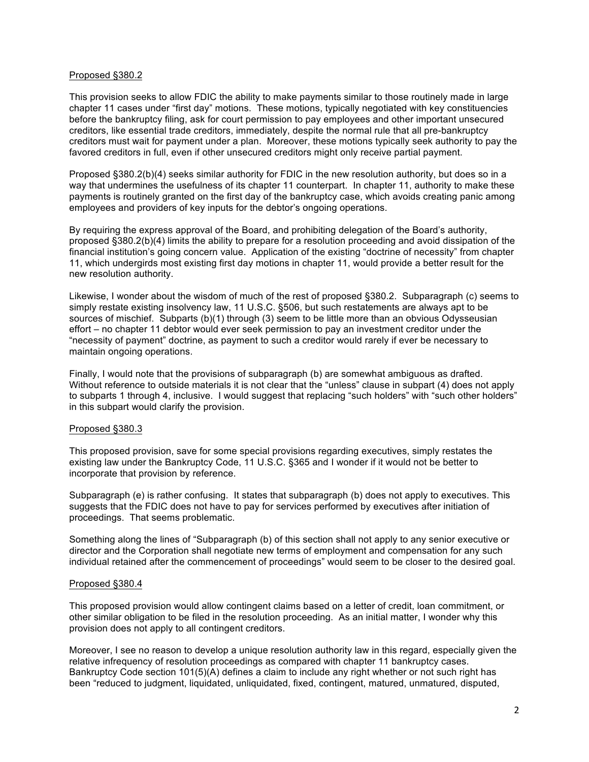### Proposed §380.2

This provision seeks to allow FDIC the ability to make payments similar to those routinely made in large chapter 11 cases under "first day" motions. These motions, typically negotiated with key constituencies before the bankruptcy filing, ask for court permission to pay employees and other important unsecured creditors, like essential trade creditors, immediately, despite the normal rule that all pre-bankruptcy creditors must wait for payment under a plan. Moreover, these motions typically seek authority to pay the favored creditors in full, even if other unsecured creditors might only receive partial payment.

Proposed §380.2(b)(4) seeks similar authority for FDIC in the new resolution authority, but does so in a way that undermines the usefulness of its chapter 11 counterpart. In chapter 11, authority to make these payments is routinely granted on the first day of the bankruptcy case, which avoids creating panic among employees and providers of key inputs for the debtor's ongoing operations.

By requiring the express approval of the Board, and prohibiting delegation of the Board's authority, proposed §380.2(b)(4) limits the ability to prepare for a resolution proceeding and avoid dissipation of the financial institution's going concern value. Application of the existing "doctrine of necessity" from chapter 11, which undergirds most existing first day motions in chapter 11, would provide a better result for the new resolution authority.

Likewise, I wonder about the wisdom of much of the rest of proposed §380.2. Subparagraph (c) seems to simply restate existing insolvency law, 11 U.S.C. §506, but such restatements are always apt to be sources of mischief. Subparts (b)(1) through (3) seem to be little more than an obvious Odysseusian effort – no chapter 11 debtor would ever seek permission to pay an investment creditor under the "necessity of payment" doctrine, as payment to such a creditor would rarely if ever be necessary to maintain ongoing operations.

Finally, I would note that the provisions of subparagraph (b) are somewhat ambiguous as drafted. Without reference to outside materials it is not clear that the "unless" clause in subpart (4) does not apply to subparts 1 through 4, inclusive. I would suggest that replacing "such holders" with "such other holders" in this subpart would clarify the provision.

### Proposed §380.3

This proposed provision, save for some special provisions regarding executives, simply restates the existing law under the Bankruptcy Code, 11 U.S.C. §365 and I wonder if it would not be better to incorporate that provision by reference.

Subparagraph (e) is rather confusing. It states that subparagraph (b) does not apply to executives. This suggests that the FDIC does not have to pay for services performed by executives after initiation of proceedings. That seems problematic.

Something along the lines of "Subparagraph (b) of this section shall not apply to any senior executive or director and the Corporation shall negotiate new terms of employment and compensation for any such individual retained after the commencement of proceedings" would seem to be closer to the desired goal.

#### Proposed §380.4

This proposed provision would allow contingent claims based on a letter of credit, loan commitment, or other similar obligation to be filed in the resolution proceeding. As an initial matter, I wonder why this provision does not apply to all contingent creditors.

Moreover, I see no reason to develop a unique resolution authority law in this regard, especially given the relative infrequency of resolution proceedings as compared with chapter 11 bankruptcy cases. Bankruptcy Code section 101(5)(A) defines a claim to include any right whether or not such right has been "reduced to judgment, liquidated, unliquidated, fixed, contingent, matured, unmatured, disputed,